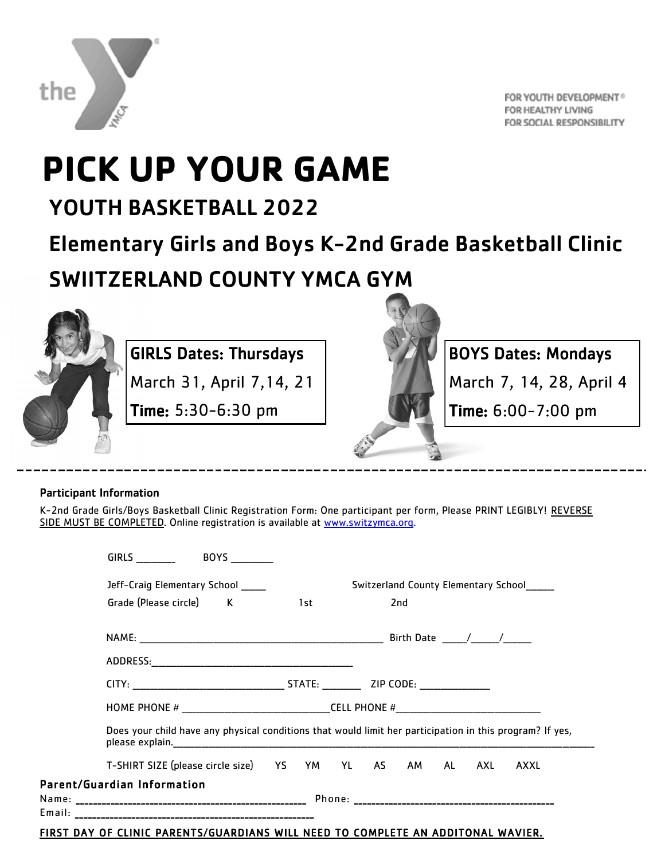

FOR YOUTH DEVELOPMENT® FOR HEALTHY LIVING FOR SOCIAL RESPONSIBILITY

## **PICK UP YOUR GAME**

### YOUTH BASKETBALL 2022

Elementary Girls and Boys K-2nd Grade Basketball Clinic

SWIITZERLAND COUNTY YMCA GYM



#### GIRLS Dates: Thursdays

March 31, April 7,14, 21

Time: 5:30-6:30 pm



BOYS Dates: Mondays

March 7, 14, 28, April 4

Time: 6:00-7:00 pm

#### Participant Information

K-2nd Grade Girls/Boys Basketball Clinic Registration Form: One participant per form, Please PRINT LEGIBLY! REVERSE SIDE MUST BE COMPLETED. Online registration is available at [www.switzymca.org.](http://www.switzymca.org)

| <b>GIRLS</b><br><b>BOYS</b>                                                                              |  |     |                                      |  |     |  |  |      |
|----------------------------------------------------------------------------------------------------------|--|-----|--------------------------------------|--|-----|--|--|------|
| Jeff-Craig Elementary School                                                                             |  |     | Switzerland County Elementary School |  |     |  |  |      |
| Grade (Please circle) K                                                                                  |  | 1st |                                      |  | 2nd |  |  |      |
|                                                                                                          |  |     |                                      |  |     |  |  |      |
|                                                                                                          |  |     |                                      |  |     |  |  |      |
|                                                                                                          |  |     |                                      |  |     |  |  |      |
|                                                                                                          |  |     |                                      |  |     |  |  |      |
| Does your child have any physical conditions that would limit her participation in this program? If yes, |  |     |                                      |  |     |  |  |      |
| T-SHIRT SIZE (please circle size) YS YM YL AS AM AL AXL                                                  |  |     |                                      |  |     |  |  | AXXL |
| Parent/Guardian Information                                                                              |  |     |                                      |  |     |  |  |      |
|                                                                                                          |  |     |                                      |  |     |  |  |      |
|                                                                                                          |  |     |                                      |  |     |  |  |      |

#### FIRST DAY OF CLINIC PARENTS/GUARDIANS WILL NEED TO COMPLETE AN ADDITONAL WAVIER.